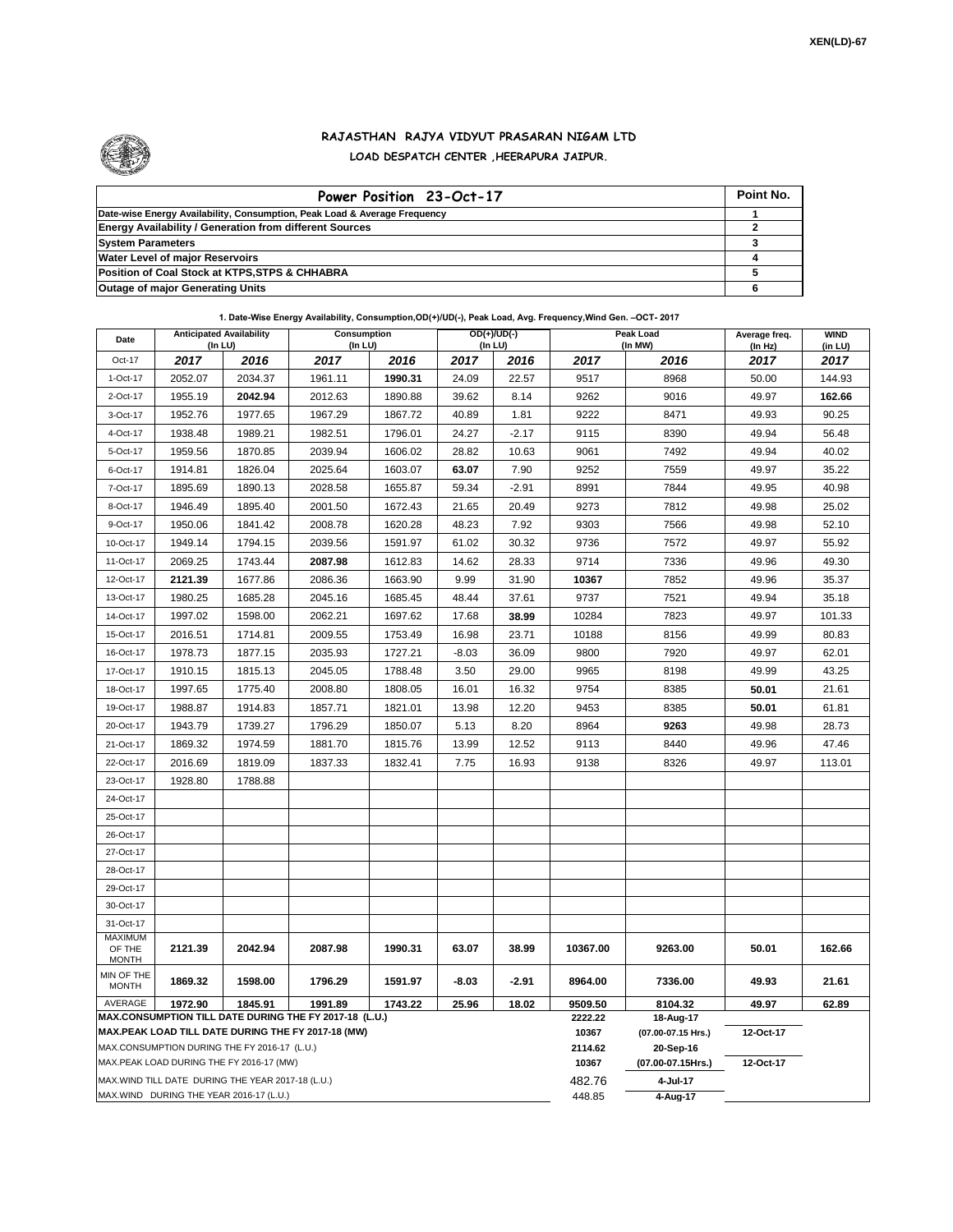

## **RAJASTHAN RAJYA VIDYUT PRASARAN NIGAM LTD LOAD DESPATCH CENTER ,HEERAPURA JAIPUR.**

| Power Position 23-Oct-17                                                  | Point No. |
|---------------------------------------------------------------------------|-----------|
| Date-wise Energy Availability, Consumption, Peak Load & Average Frequency |           |
| <b>Energy Availability / Generation from different Sources</b>            |           |
| <b>System Parameters</b>                                                  |           |
| <b>Water Level of major Reservoirs</b>                                    |           |
| Position of Coal Stock at KTPS, STPS & CHHABRA                            |           |
| <b>Outage of major Generating Units</b>                                   |           |

**1. Date-Wise Energy Availability, Consumption,OD(+)/UD(-), Peak Load, Avg. Frequency,Wind Gen. –OCT- 2017**

| Date                                     | <b>Anticipated Availability</b><br>$($ In LU $)$  |         | Consumption<br>(In LU)                                                                                       |         | OD(+)/UD(-)<br>(In LU) |         |                  | Peak Load<br>(In MW)            | Average freq.<br>(In Hz) | <b>WIND</b><br>(in LU) |
|------------------------------------------|---------------------------------------------------|---------|--------------------------------------------------------------------------------------------------------------|---------|------------------------|---------|------------------|---------------------------------|--------------------------|------------------------|
| Oct-17                                   | 2017                                              | 2016    | 2017                                                                                                         | 2016    | 2017                   | 2016    | 2017             | 2016                            | 2017                     | 2017                   |
| 1-Oct-17                                 | 2052.07                                           | 2034.37 | 1961.11                                                                                                      | 1990.31 | 24.09                  | 22.57   | 9517             | 8968                            | 50.00                    | 144.93                 |
| 2-Oct-17                                 | 1955.19                                           | 2042.94 | 2012.63                                                                                                      | 1890.88 | 39.62                  | 8.14    | 9262             | 9016                            | 49.97                    | 162.66                 |
| 3-Oct-17                                 | 1952.76                                           | 1977.65 | 1967.29                                                                                                      | 1867.72 | 40.89                  | 1.81    | 9222             | 8471                            | 49.93                    | 90.25                  |
| 4-Oct-17                                 | 1938.48                                           | 1989.21 | 1982.51                                                                                                      | 1796.01 | 24.27                  | $-2.17$ | 9115             | 8390                            | 49.94                    | 56.48                  |
| 5-Oct-17                                 | 1959.56                                           | 1870.85 | 2039.94                                                                                                      | 1606.02 | 28.82                  | 10.63   | 9061             | 7492                            | 49.94                    | 40.02                  |
| 6-Oct-17                                 | 1914.81                                           | 1826.04 | 2025.64                                                                                                      | 1603.07 | 63.07                  | 7.90    | 9252             | 7559                            | 49.97                    | 35.22                  |
| 7-Oct-17                                 | 1895.69                                           | 1890.13 | 2028.58                                                                                                      | 1655.87 | 59.34                  | $-2.91$ | 8991             | 7844                            | 49.95                    | 40.98                  |
| 8-Oct-17                                 | 1946.49                                           | 1895.40 | 2001.50                                                                                                      | 1672.43 | 21.65                  | 20.49   | 9273             | 7812                            | 49.98                    | 25.02                  |
| 9-Oct-17                                 | 1950.06                                           | 1841.42 | 2008.78                                                                                                      | 1620.28 | 48.23                  | 7.92    | 9303             | 7566                            | 49.98                    | 52.10                  |
| 10-Oct-17                                | 1949.14                                           | 1794.15 | 2039.56                                                                                                      | 1591.97 | 61.02                  | 30.32   | 9736             | 7572                            | 49.97                    | 55.92                  |
| 11-Oct-17                                | 2069.25                                           | 1743.44 | 2087.98                                                                                                      | 1612.83 | 14.62                  | 28.33   | 9714             | 7336                            | 49.96                    | 49.30                  |
| 12-Oct-17                                | 2121.39                                           | 1677.86 | 2086.36                                                                                                      | 1663.90 | 9.99                   | 31.90   | 10367            | 7852                            | 49.96                    | 35.37                  |
| 13-Oct-17                                | 1980.25                                           | 1685.28 | 2045.16                                                                                                      | 1685.45 | 48.44                  | 37.61   | 9737             | 7521                            | 49.94                    | 35.18                  |
| 14-Oct-17                                | 1997.02                                           | 1598.00 | 2062.21                                                                                                      | 1697.62 | 17.68                  | 38.99   | 10284            | 7823                            | 49.97                    | 101.33                 |
| 15-Oct-17                                | 2016.51                                           | 1714.81 | 2009.55                                                                                                      | 1753.49 | 16.98                  | 23.71   | 10188            | 8156                            | 49.99                    | 80.83                  |
| 16-Oct-17                                | 1978.73                                           | 1877.15 | 2035.93                                                                                                      | 1727.21 | $-8.03$                | 36.09   | 9800             | 7920                            | 49.97                    | 62.01                  |
| 17-Oct-17                                | 1910.15                                           | 1815.13 | 2045.05                                                                                                      | 1788.48 | 3.50                   | 29.00   | 9965             | 8198                            | 49.99                    | 43.25                  |
| 18-Oct-17                                | 1997.65                                           | 1775.40 | 2008.80                                                                                                      | 1808.05 | 16.01                  | 16.32   | 9754             | 8385                            | 50.01                    | 21.61                  |
| 19-Oct-17                                | 1988.87                                           | 1914.83 | 1857.71                                                                                                      | 1821.01 | 13.98                  | 12.20   | 9453             | 8385                            | 50.01                    | 61.81                  |
| 20-Oct-17                                | 1943.79                                           | 1739.27 | 1796.29                                                                                                      | 1850.07 | 5.13                   | 8.20    | 8964             | 9263                            | 49.98                    | 28.73                  |
| 21-Oct-17                                | 1869.32                                           | 1974.59 | 1881.70                                                                                                      | 1815.76 | 13.99                  | 12.52   | 9113             | 8440                            | 49.96                    | 47.46                  |
| 22-Oct-17                                | 2016.69                                           | 1819.09 | 1837.33                                                                                                      | 1832.41 | 7.75                   | 16.93   | 9138             | 8326                            | 49.97                    | 113.01                 |
| 23-Oct-17                                | 1928.80                                           | 1788.88 |                                                                                                              |         |                        |         |                  |                                 |                          |                        |
| 24-Oct-17                                |                                                   |         |                                                                                                              |         |                        |         |                  |                                 |                          |                        |
| 25-Oct-17                                |                                                   |         |                                                                                                              |         |                        |         |                  |                                 |                          |                        |
| 26-Oct-17                                |                                                   |         |                                                                                                              |         |                        |         |                  |                                 |                          |                        |
| 27-Oct-17                                |                                                   |         |                                                                                                              |         |                        |         |                  |                                 |                          |                        |
| 28-Oct-17                                |                                                   |         |                                                                                                              |         |                        |         |                  |                                 |                          |                        |
| 29-Oct-17                                |                                                   |         |                                                                                                              |         |                        |         |                  |                                 |                          |                        |
| 30-Oct-17                                |                                                   |         |                                                                                                              |         |                        |         |                  |                                 |                          |                        |
| 31-Oct-17                                |                                                   |         |                                                                                                              |         |                        |         |                  |                                 |                          |                        |
| <b>MAXIMUM</b><br>OF THE<br><b>MONTH</b> | 2121.39                                           | 2042.94 | 2087.98                                                                                                      | 1990.31 | 63.07                  | 38.99   | 10367.00         | 9263.00                         | 50.01                    | 162.66                 |
| MIN OF THE<br><b>MONTH</b>               | 1869.32                                           | 1598.00 | 1796.29                                                                                                      | 1591.97 | $-8.03$                | $-2.91$ | 8964.00          | 7336.00                         | 49.93                    | 21.61                  |
| AVERAGE                                  | 1972.90                                           | 1845.91 | 1991.89                                                                                                      | 1743.22 | 25.96                  | 18.02   | 9509.50          | 8104.32                         | 49.97                    | 62.89                  |
|                                          |                                                   |         | MAX.CONSUMPTION TILL DATE DURING THE FY 2017-18 (L.U.)<br>MAX.PEAK LOAD TILL DATE DURING THE FY 2017-18 (MW) |         |                        |         | 2222.22<br>10367 | 18-Aug-17<br>(07.00-07.15 Hrs.) | 12-Oct-17                |                        |
|                                          | MAX.CONSUMPTION DURING THE FY 2016-17 (L.U.)      |         |                                                                                                              |         |                        |         | 2114.62          | 20-Sep-16                       |                          |                        |
|                                          | MAX.PEAK LOAD DURING THE FY 2016-17 (MW)          |         |                                                                                                              |         |                        |         | 10367            | (07.00-07.15Hrs.)               | 12-Oct-17                |                        |
|                                          | MAX.WIND TILL DATE DURING THE YEAR 2017-18 (L.U.) |         |                                                                                                              |         |                        |         | 482.76           | 4-Jul-17                        |                          |                        |
| MAX.WIND DURING THE YEAR 2016-17 (L.U.)  |                                                   |         |                                                                                                              |         |                        |         |                  | 4-Aug-17                        |                          |                        |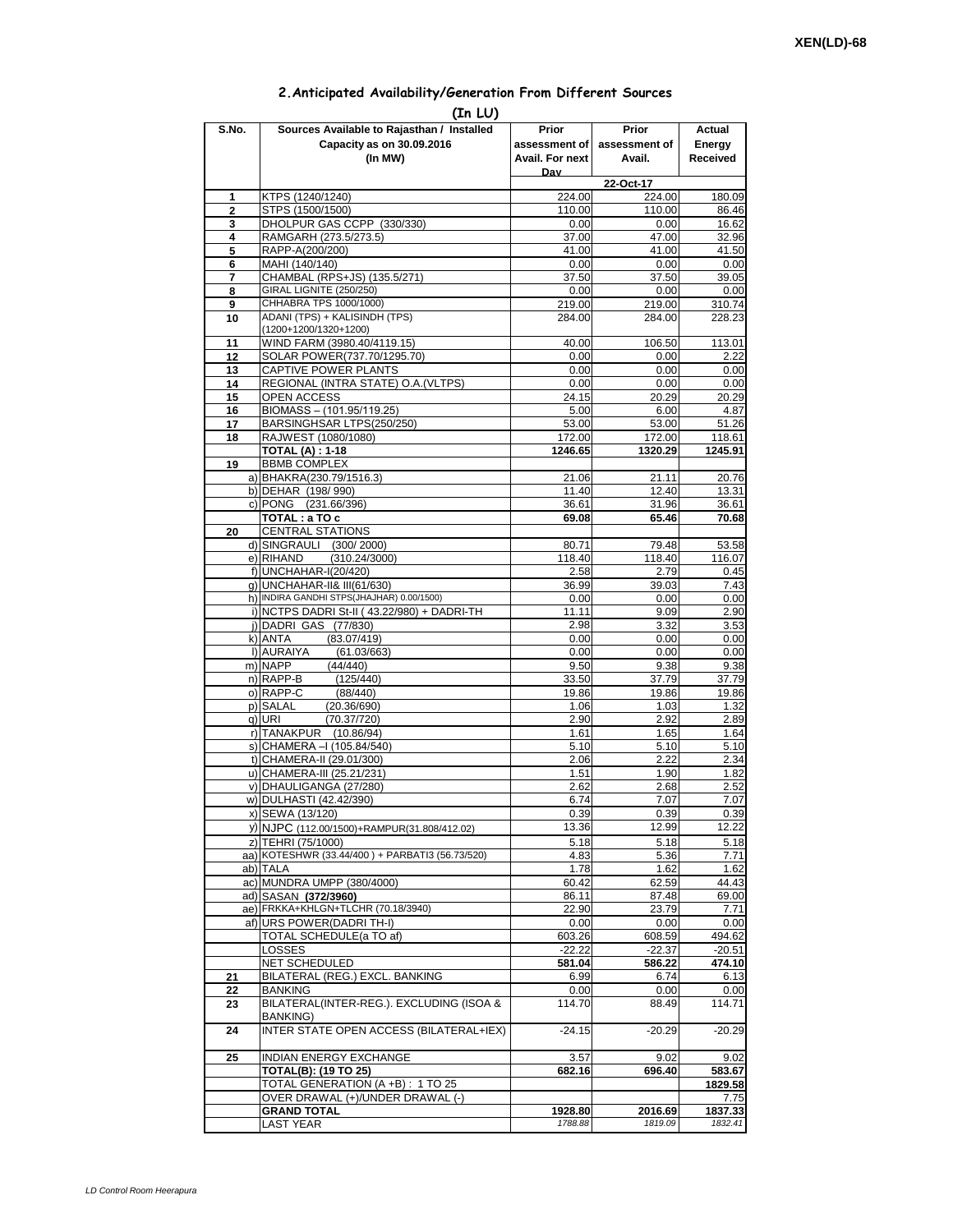## **2.Anticipated Availability/Generation From Different Sources**

|                | (In LU)                                                        |                 |                |                |
|----------------|----------------------------------------------------------------|-----------------|----------------|----------------|
| S.No.          | Sources Available to Rajasthan / Installed                     | Prior           | Prior          | Actual         |
|                | Capacity as on 30.09.2016                                      | assessment of I | assessment of  | Energy         |
|                | (In MW)                                                        | Avail. For next | Avail.         | Received       |
|                |                                                                | Dav             | 22-Oct-17      |                |
| 1              | KTPS (1240/1240)                                               | 224.00          | 224.00         | 180.09         |
| $\overline{2}$ | STPS (1500/1500)                                               | 110.00          | 110.00         | 86.46          |
| 3              | DHOLPUR GAS CCPP (330/330)                                     | 0.00            | 0.00           | 16.62          |
| 4              | RAMGARH (273.5/273.5)                                          | 37.00           | 47.00          | 32.96          |
| 5<br>6         | RAPP-A(200/200)<br>MAHI (140/140)                              | 41.00<br>0.00   | 41.00<br>0.00  | 41.50<br>0.00  |
| 7              | CHAMBAL (RPS+JS) (135.5/271)                                   | 37.50           | 37.50          | 39.05          |
| 8              | GIRAL LIGNITE (250/250)                                        | 0.00            | 0.00           | 0.00           |
| 9              | CHHABRA TPS 1000/1000)                                         | 219.00          | 219.00         | 310.74         |
| 10             | ADANI (TPS) + KALISINDH (TPS)                                  | 284.00          | 284.00         | 228.23         |
|                | (1200+1200/1320+1200)                                          |                 |                |                |
| 11<br>12       | WIND FARM (3980.40/4119.15)<br>SOLAR POWER(737.70/1295.70)     | 40.00<br>0.00   | 106.50<br>0.00 | 113.01<br>2.22 |
| 13             | CAPTIVE POWER PLANTS                                           | 0.00            | 0.00           | 0.00           |
| 14             | REGIONAL (INTRA STATE) O.A. (VLTPS)                            | 0.00            | 0.00           | 0.00           |
| 15             | <b>OPEN ACCESS</b>                                             | 24.15           | 20.29          | 20.29          |
| 16             | BIOMASS - (101.95/119.25)                                      | 5.00            | 6.00           | 4.87           |
| 17             | BARSINGHSAR LTPS(250/250)                                      | 53.00           | 53.00          | 51.26          |
| 18             | RAJWEST (1080/1080)                                            | 172.00          | 172.00         | 118.61         |
| 19             | <b>TOTAL (A): 1-18</b><br><b>BBMB COMPLEX</b>                  | 1246.65         | 1320.29        | 1245.91        |
|                | a) BHAKRA(230.79/1516.3)                                       | 21.06           | 21.11          | 20.76          |
|                | b) DEHAR (198/990)                                             | 11.40           | 12.40          | 13.31          |
|                | c) PONG (231.66/396)                                           | 36.61           | 31.96          | 36.61          |
|                | TOTAL: a TO c                                                  | 69.08           | 65.46          | 70.68          |
| 20             | <b>CENTRAL STATIONS</b>                                        |                 |                |                |
|                | d) SINGRAULI (300/2000)                                        | 80.71           | 79.48          | 53.58          |
|                | e) RIHAND<br>(310.24/3000)                                     | 118.40          | 118.40         | 116.07         |
|                | f) UNCHAHAR-I(20/420)<br>g) UNCHAHAR-II& III(61/630)           | 2.58<br>36.99   | 2.79<br>39.03  | 0.45<br>7.43   |
|                | h) INDIRA GANDHI STPS(JHAJHAR) 0.00/1500)                      | 0.00            | 0.00           | 0.00           |
|                | i) NCTPS DADRI St-II (43.22/980) + DADRI-TH                    | 11.11           | 9.09           | 2.90           |
|                | j) DADRI GAS (77/830)                                          | 2.98            | 3.32           | 3.53           |
|                | (83.07/419)<br>k) ANTA                                         | 0.00            | 0.00           | 0.00           |
|                | I) AURAIYA<br>(61.03/663)                                      | 0.00            | 0.00           | 0.00           |
|                | m) NAPP<br>(44/440)<br>n) RAPP-B<br>(125/440)                  | 9.50<br>33.50   | 9.38<br>37.79  | 9.38<br>37.79  |
|                | o) RAPP-C<br>(88/440)                                          | 19.86           | 19.86          | 19.86          |
|                | p) SALAL<br>(20.36/690)                                        | 1.06            | 1.03           | 1.32           |
|                | q) URI<br>(70.37/720)                                          | 2.90            | 2.92           | 2.89           |
|                | r) TANAKPUR (10.86/94)                                         | 1.61            | 1.65           | 1.64           |
|                | s) CHAMERA - (105.84/540)                                      | 5.10            | 5.10           | 5.10           |
|                | t) CHAMERA-II (29.01/300)                                      | 2.06            | 2.22           | 2.34           |
|                | u) CHAMERA-III (25.21/231)<br>v) DHAULIGANGA (27/280)          | 1.51<br>2.62    | 1.90<br>2.68   | 1.82<br>2.52   |
|                | w) DULHASTI (42.42/390)                                        | 6.74            | 7.07           | 7.07           |
|                | x) SEWA (13/120)                                               | 0.39            | 0.39           | 0.39           |
|                | y) NJPC (112.00/1500)+RAMPUR(31.808/412.02)                    | 13.36           | 12.99          | 12.22          |
|                | z) TEHRI (75/1000)                                             | 5.18            | 5.18           | 5.18           |
|                | aa) KOTESHWR (33.44/400) + PARBATI3 (56.73/520)                | 4.83            | 5.36           | 7.71           |
|                | ab) TALA                                                       | 1.78            | 1.62           | 1.62           |
|                | ac) MUNDRA UMPP (380/4000)                                     | 60.42           | 62.59          | 44.43          |
|                | ad) SASAN (372/3960)                                           | 86.11           | 87.48          | 69.00          |
|                | ae) FRKKA+KHLGN+TLCHR (70.18/3940)<br>af) URS POWER(DADRITH-I) | 22.90           | 23.79          | 7.71           |
|                | TOTAL SCHEDULE(a TO af)                                        | 0.00<br>603.26  | 0.00<br>608.59 | 0.00<br>494.62 |
|                | LOSSES                                                         | $-22.22$        | $-22.37$       | $-20.51$       |
|                | NET SCHEDULED                                                  | 581.04          | 586.22         | 474.10         |
| 21             | BILATERAL (REG.) EXCL. BANKING                                 | 6.99            | 6.74           | 6.13           |
| 22             | BANKING                                                        | 0.00            | 0.00           | 0.00           |
| 23             | BILATERAL(INTER-REG.). EXCLUDING (ISOA &                       | 114.70          | 88.49          | 114.71         |
|                | BANKING)                                                       |                 |                |                |
| 24             | INTER STATE OPEN ACCESS (BILATERAL+IEX)                        | $-24.15$        | $-20.29$       | $-20.29$       |
| 25             | <b>INDIAN ENERGY EXCHANGE</b>                                  | 3.57            | 9.02           | 9.02           |
|                | <b>TOTAL(B): (19 TO 25)</b>                                    | 682.16          | 696.40         | 583.67         |
|                | TOTAL GENERATION (A +B) : 1 TO 25                              |                 |                | 1829.58        |
|                | OVER DRAWAL (+)/UNDER DRAWAL (-)                               |                 |                | 7.75           |
|                | <b>GRAND TOTAL</b>                                             | 1928.80         | 2016.69        | 1837.33        |
|                | <b>LAST YEAR</b>                                               | 1788.88         | 1819.09        | 1832.41        |